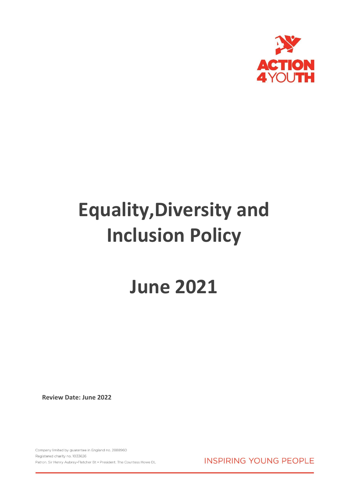

# **Equality,Diversity and Inclusion Policy**

## **June 2021**

**Review Date: June 2022**

Company limited by guarantee in England no. 2888960 Registered charity no. 1033626 Patron. Sir Henry Aubrey-Fletcher Bt . President. The Countess Howe DL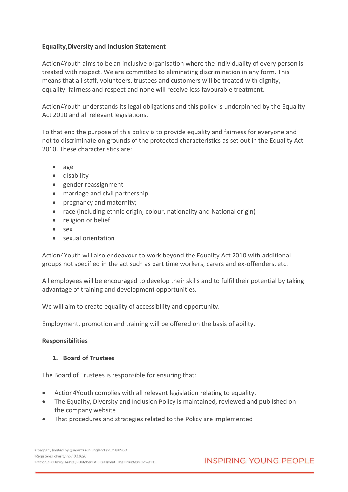#### **Equality,Diversity and Inclusion Statement**

Action4Youth aims to be an inclusive organisation where the individuality of every person is treated with respect. We are committed to eliminating discrimination in any form. This means that all staff, volunteers, trustees and customers will be treated with dignity, equality, fairness and respect and none will receive less favourable treatment.

Action4Youth understands its legal obligations and this policy is underpinned by the Equality Act 2010 and all relevant legislations.

To that end the purpose of this policy is to provide equality and fairness for everyone and not to discriminate on grounds of the protected characteristics as set out in the Equality Act 2010. These characteristics are:

- age
- disability
- gender reassignment
- marriage and civil partnership
- pregnancy and maternity;
- race (including ethnic origin, colour, nationality and National origin)
- religion or belief
- $\bullet$  sex
- sexual orientation

Action4Youth will also endeavour to work beyond the Equality Act 2010 with additional groups not specified in the act such as part time workers, carers and ex-offenders, etc.

All employees will be encouraged to develop their skills and to fulfil their potential by taking advantage of training and development opportunities.

We will aim to create equality of accessibility and opportunity.

Employment, promotion and training will be offered on the basis of ability.

#### **Responsibilities**

#### **1. Board of Trustees**

The Board of Trustees is responsible for ensuring that:

- Action4Youth complies with all relevant legislation relating to equality.
- The Equality, Diversity and Inclusion Policy is maintained, reviewed and published on the company website
- That procedures and strategies related to the Policy are implemented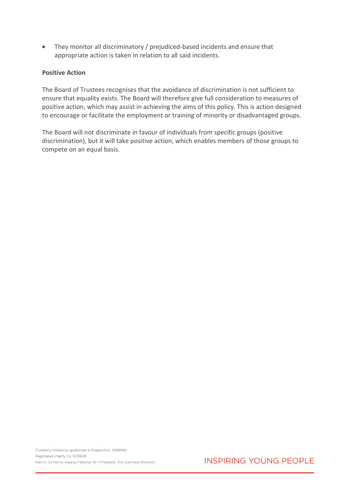• They monitor all discriminatory / prejudiced-based incidents and ensure that appropriate action is taken in relation to all said incidents.

#### **Positive Action**

The Board of Trustees recognises that the avoidance of discrimination is not sufficient to ensure that equality exists. The Board will therefore give full consideration to measures of positive action, which may assist in achieving the aims of this policy. This is action designed to encourage or facilitate the employment or training of minority or disadvantaged groups.

The Board will not discriminate in favour of individuals from specific groups (positive discrimination), but it will take positive action, which enables members of those groups to compete on an equal basis.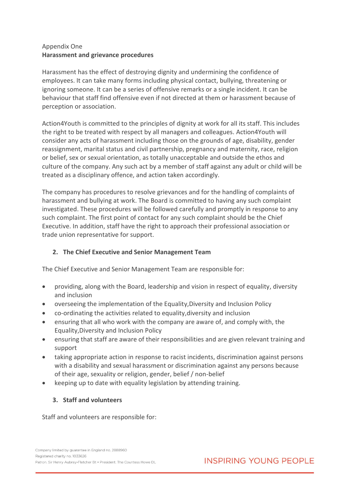#### Appendix One **Harassment and grievance procedures**

Harassment has the effect of destroying dignity and undermining the confidence of employees. It can take many forms including physical contact, bullying, threatening or ignoring someone. It can be a series of offensive remarks or a single incident. It can be behaviour that staff find offensive even if not directed at them or harassment because of perception or association.

Action4Youth is committed to the principles of dignity at work for all its staff. This includes the right to be treated with respect by all managers and colleagues. Action4Youth will consider any acts of harassment including those on the grounds of age, disability, gender reassignment, marital status and civil partnership, pregnancy and maternity, race, religion or belief, sex or sexual orientation, as totally unacceptable and outside the ethos and culture of the company. Any such act by a member of staff against any adult or child will be treated as a disciplinary offence, and action taken accordingly.

The company has procedures to resolve grievances and for the handling of complaints of harassment and bullying at work. The Board is committed to having any such complaint investigated. These procedures will be followed carefully and promptly in response to any such complaint. The first point of contact for any such complaint should be the Chief Executive. In addition, staff have the right to approach their professional association or trade union representative for support.

#### **2. The Chief Executive and Senior Management Team**

The Chief Executive and Senior Management Team are responsible for:

- providing, along with the Board, leadership and vision in respect of equality, diversity and inclusion
- overseeing the implementation of the Equality,Diversity and Inclusion Policy
- co-ordinating the activities related to equality,diversity and inclusion
- ensuring that all who work with the company are aware of, and comply with, the Equality,Diversity and Inclusion Policy
- ensuring that staff are aware of their responsibilities and are given relevant training and support
- taking appropriate action in response to racist incidents, discrimination against persons with a disability and sexual harassment or discrimination against any persons because of their age, sexuality or religion, gender, belief / non-belief
- keeping up to date with equality legislation by attending training.

#### **3. Staff and volunteers**

Staff and volunteers are responsible for: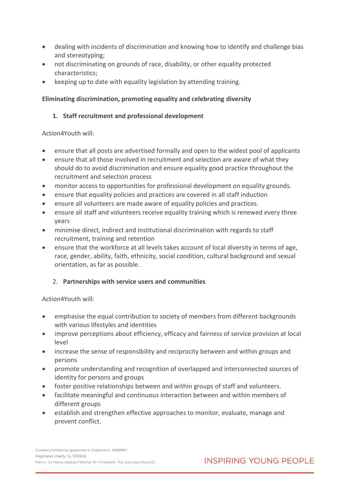- dealing with incidents of discrimination and knowing how to identify and challenge bias and stereotyping;
- not discriminating on grounds of race, disability, or other equality protected characteristics;
- keeping up to date with equality legislation by attending training.

#### **Eliminating discrimination, promoting equality and celebrating diversity**

#### **1. Staff recruitment and professional development**

Action4Youth will:

- ensure that all posts are advertised formally and open to the widest pool of applicants
- ensure that all those involved in recruitment and selection are aware of what they should do to avoid discrimination and ensure equality good practice throughout the recruitment and selection process
- monitor access to opportunities for professional development on equality grounds.
- ensure that equality policies and practices are covered in all staff induction
- ensure all volunteers are made aware of equality policies and practices.
- ensure all staff and volunteers receive equality training which is renewed every three years
- minimise direct, indirect and institutional discrimination with regards to staff recruitment, training and retention
- ensure that the workforce at all levels takes account of local diversity in terms of age, race, gender, ability, faith, ethnicity, social condition, cultural background and sexual orientation, as far as possible.

#### 2. **Partnerships with service users and communities**

Action4Youth will:

- emphasise the equal contribution to society of members from different backgrounds with various lifestyles and identities
- improve perceptions about efficiency, efficacy and fairness of service provision at local level
- increase the sense of responsibility and reciprocity between and within groups and persons
- promote understanding and recognition of overlapped and interconnected sources of identity for persons and groups
- foster positive relationships between and within groups of staff and volunteers.
- facilitate meaningful and continuous interaction between and within members of different groups
- establish and strengthen effective approaches to monitor, evaluate, manage and prevent conflict.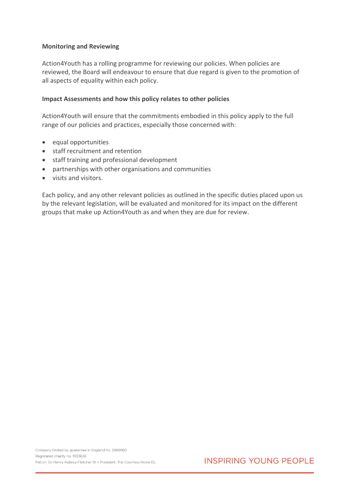#### **Monitoring and Reviewing**

Action4Youth has a rolling programme for reviewing our policies. When policies are reviewed, the Board will endeavour to ensure that due regard is given to the promotion of all aspects of equality within each policy.

#### **Impact Assessments and how this policy relates to other policies**

Action4Youth will ensure that the commitments embodied in this policy apply to the full range of our policies and practices, especially those concerned with:

- equal opportunities
- staff recruitment and retention
- staff training and professional development
- partnerships with other organisations and communities
- visits and visitors.

Each policy, and any other relevant policies as outlined in the specific duties placed upon us by the relevant legislation, will be evaluated and monitored for its impact on the different groups that make up Action4Youth as and when they are due for review.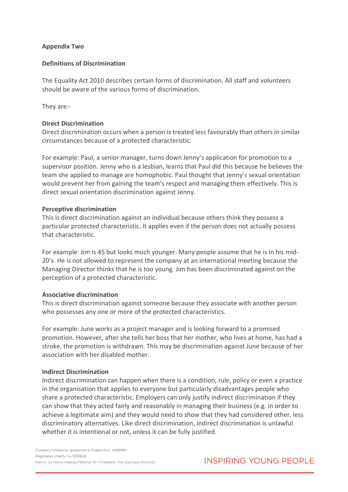#### **Appendix Two**

#### **Definitions of Discrimination**

The Equality Act 2010 describes certain forms of discrimination. All staff and volunteers should be aware of the various forms of discrimination.

They are:-

#### **Direct Discrimination**

Direct discrimination occurs when a person is treated less favourably than others in similar circumstances because of a protected characteristic.

For example: Paul, a senior manager, turns down Jenny's application for promotion to a supervisor position. Jenny who is a lesbian, learns that Paul did this because he believes the team she applied to manage are homophobic. Paul thought that Jenny's sexual orientation would prevent her from gaining the team's respect and managing them effectively. This is direct sexual orientation discrimination against Jenny.

#### **Perceptive discrimination**

This is direct discrimination against an individual because others think they possess a particular protected characteristic. It applies even if the person does not actually possess that characteristic.

For example: Jim is 45 but looks much younger. Many people assume that he is in his mid-20's. He is not allowed to represent the company at an international meeting because the Managing Director thinks that he is too young. Jim has been discriminated against on the perception of a protected characteristic.

#### **Associative discrimination**

This is direct discrimination against someone because they associate with another person who possesses any one or more of the protected characteristics.

For example: June works as a project manager and is looking forward to a promised promotion. However, after she tells her boss that her mother, who lives at home, has had a stroke, the promotion is withdrawn. This may be discrimination against June because of her association with her disabled mother.

#### **Indirect Discrimination**

Indirect discrimination can happen when there is a condition, rule, policy or even a practice in the organisation that applies to everyone but particularly disadvantages people who share a protected characteristic. Employers can only justify indirect discrimination if they can show that they acted fairly and reasonably in managing their business (e.g. in order to achieve a legitimate aim) and they would need to show that they had considered other, less discriminatory alternatives. Like direct discrimination, indirect discrimination is unlawful whether it is intentional or not, unless it can be fully justified.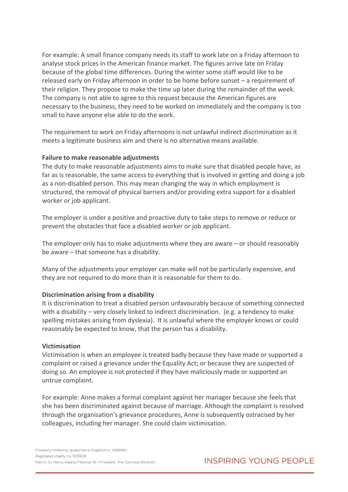For example: A small finance company needs its staff to work late on a Friday afternoon to analyse stock prices in the American finance market. The figures arrive late on Friday because of the global time differences. During the winter some staff would like to be released early on Friday afternoon in order to be home before sunset – a requirement of their religion. They propose to make the time up later during the remainder of the week. The company is not able to agree to this request because the American figures are necessary to the business, they need to be worked on immediately and the company is too small to have anyone else able to do the work.

The requirement to work on Friday afternoons is not unlawful indirect discrimination as it meets a legitimate business aim and there is no alternative means available.

#### **Failure to make reasonable adjustments**

The duty to make reasonable adjustments aims to make sure that disabled people have, as far as is reasonable, the same access to everything that is involved in getting and doing a job as a non-disabled person. This may mean changing the way in which employment is structured, the removal of physical barriers and/or providing extra support for a disabled worker or job applicant.

The employer is under a positive and proactive duty to take steps to remove or reduce or prevent the obstacles that face a disabled worker or job applicant.

The employer only has to make adjustments where they are aware – or should reasonably be aware – that someone has a disability.

Many of the adjustments your employer can make will not be particularly expensive, and they are not required to do more than it is reasonable for them to do.

#### **Discrimination arising from a disability**

It is discrimination to treat a disabled person unfavourably because of something connected with a disability – very closely linked to indirect discrimination. (e.g. a tendency to make spelling mistakes arising from dyslexia). It is unlawful where the employer knows or could reasonably be expected to know, that the person has a disability.

#### **Victimisation**

Victimisation is when an employee is treated badly because they have made or supported a complaint or raised a grievance under the Equality Act; or because they are suspected of doing so. An employee is not protected if they have maliciously made or supported an untrue complaint.

For example: Anne makes a formal complaint against her manager because she feels that she has been discriminated against because of marriage. Although the complaint is resolved through the organisation's grievance procedures, Anne is subsequently ostracised by her colleagues, including her manager. She could claim victimisation.